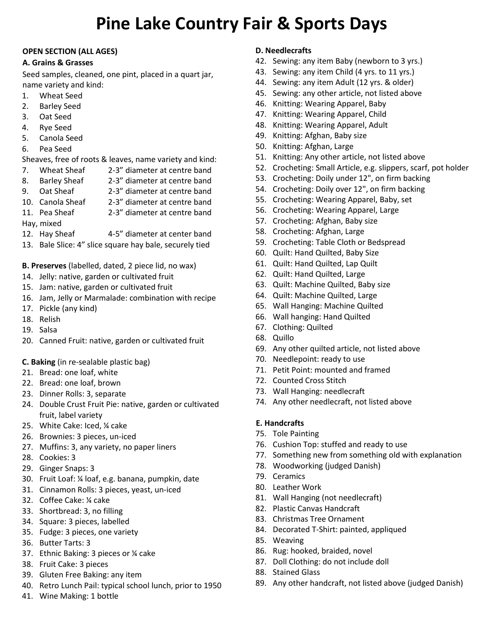# **Pine Lake Country Fair & Sports Days**

#### **OPEN SECTION (ALL AGES)**

#### **A. Grains & Grasses**

Seed samples, cleaned, one pint, placed in a quart jar, name variety and kind:

- 1. Wheat Seed
- 2. Barley Seed
- 3. Oat Seed
- 4. Rye Seed
- 5. Canola Seed
- 6. Pea Seed

Sheaves, free of roots & leaves, name variety and kind:

- 7. Wheat Sheaf 2-3" diameter at centre band
- 8. Barley Sheaf 2-3" diameter at centre band
- 9. Oat Sheaf 2-3" diameter at centre band
- 10. Canola Sheaf 2-3" diameter at centre band
- 11. Pea Sheaf 2-3" diameter at centre band
- Hay, mixed
- 12. Hay Sheaf 4-5" diameter at center band
- 13. Bale Slice: 4" slice square hay bale, securely tied

**B. Preserves** (labelled, dated, 2 piece lid, no wax)

- 14. Jelly: native, garden or cultivated fruit
- 15. Jam: native, garden or cultivated fruit
- 16. Jam, Jelly or Marmalade: combination with recipe
- 17. Pickle (any kind)
- 18. Relish
- 19. Salsa
- 20. Canned Fruit: native, garden or cultivated fruit
- **C. Baking** (in re-sealable plastic bag)
- 21. Bread: one loaf, white
- 22. Bread: one loaf, brown
- 23. Dinner Rolls: 3, separate
- 24. Double Crust Fruit Pie: native, garden or cultivated fruit, label variety
- 25. White Cake: Iced, ¼ cake
- 26. Brownies: 3 pieces, un-iced
- 27. Muffins: 3, any variety, no paper liners
- 28. Cookies: 3
- 29. Ginger Snaps: 3
- 30. Fruit Loaf: ¼ loaf, e.g. banana, pumpkin, date
- 31. Cinnamon Rolls: 3 pieces, yeast, un-iced
- 32. Coffee Cake: ¼ cake
- 33. Shortbread: 3, no filling
- 34. Square: 3 pieces, labelled
- 35. Fudge: 3 pieces, one variety
- 36. Butter Tarts: 3
- 37. Ethnic Baking: 3 pieces or ¼ cake
- 38. Fruit Cake: 3 pieces
- 39. Gluten Free Baking: any item
- 40. Retro Lunch Pail: typical school lunch, prior to 1950
- 41. Wine Making: 1 bottle

#### **D. Needlecrafts**

- 42. Sewing: any item Baby (newborn to 3 yrs.)
- 43. Sewing: any item Child (4 yrs. to 11 yrs.)
- 44. Sewing: any item Adult (12 yrs. & older)
- 45. Sewing: any other article, not listed above
- 46. Knitting: Wearing Apparel, Baby
- 47. Knitting: Wearing Apparel, Child
- 48. Knitting: Wearing Apparel, Adult
- 49. Knitting: Afghan, Baby size
- 50. Knitting: Afghan, Large
- 51. Knitting: Any other article, not listed above
- 52. Crocheting: Small Article, e.g. slippers, scarf, pot holder
- 53. Crocheting: Doily under 12", on firm backing
- 54. Crocheting: Doily over 12", on firm backing
- 55. Crocheting: Wearing Apparel, Baby, set
- 56. Crocheting: Wearing Apparel, Large
- 57. Crocheting: Afghan, Baby size
- 58. Crocheting: Afghan, Large
- 59. Crocheting: Table Cloth or Bedspread
- 60. Quilt: Hand Quilted, Baby Size
- 61. Quilt: Hand Quilted, Lap Quilt
- 62. Quilt: Hand Quilted, Large
- 63. Quilt: Machine Quilted, Baby size
- 64. Quilt: Machine Quilted, Large
- 65. Wall Hanging: Machine Quilted
- 66. Wall hanging: Hand Quilted
- 67. Clothing: Quilted
- 68. Quillo
- 69. Any other quilted article, not listed above
- 70. Needlepoint: ready to use
- 71. Petit Point: mounted and framed
- 72. Counted Cross Stitch
- 73. Wall Hanging: needlecraft
- 74. Any other needlecraft, not listed above

#### **E. Handcrafts**

- 75. Tole Painting
- 76. Cushion Top: stuffed and ready to use
- 77. Something new from something old with explanation
- 78. Woodworking (judged Danish)
- 79. Ceramics
- 80. Leather Work
- 81. Wall Hanging (not needlecraft)
- 82. Plastic Canvas Handcraft
- 83. Christmas Tree Ornament
- 84. Decorated T-Shirt: painted, appliqued
- 85. Weaving
- 86. Rug: hooked, braided, novel
- 87. Doll Clothing: do not include doll
- 88. Stained Glass
- 89. Any other handcraft, not listed above (judged Danish)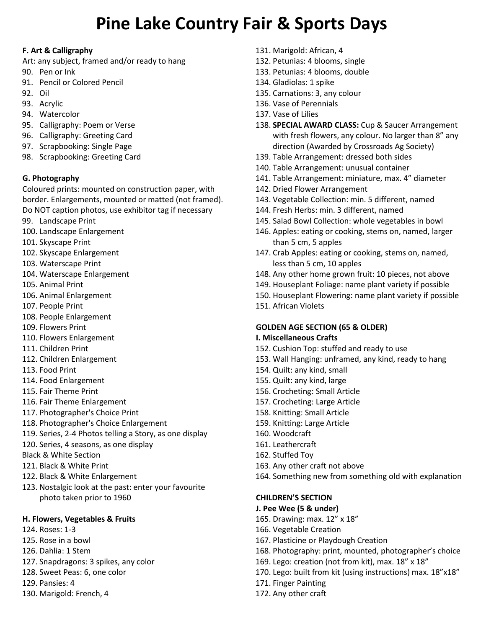# **Pine Lake Country Fair & Sports Days**

#### **F. Art & Calligraphy**

- Art: any subject, framed and/or ready to hang
- 90. Pen or Ink
- 91. Pencil or Colored Pencil
- 92. Oil
- 93. Acrylic
- 94. Watercolor
- 95. Calligraphy: Poem or Verse
- 96. Calligraphy: Greeting Card
- 97. Scrapbooking: Single Page
- 98. Scrapbooking: Greeting Card

#### **G. Photography**

Coloured prints: mounted on construction paper, with border. Enlargements, mounted or matted (not framed). Do NOT caption photos, use exhibitor tag if necessary

- 99. Landscape Print
- 100. Landscape Enlargement
- 101. Skyscape Print
- 102. Skyscape Enlargement
- 103. Waterscape Print
- 104. Waterscape Enlargement
- 105. Animal Print
- 106. Animal Enlargement
- 107. People Print
- 108. People Enlargement
- 109. Flowers Print
- 110. Flowers Enlargement
- 111. Children Print
- 112. Children Enlargement
- 113. Food Print
- 114. Food Enlargement
- 115. Fair Theme Print
- 116. Fair Theme Enlargement
- 117. Photographer's Choice Print
- 118. Photographer's Choice Enlargement
- 119. Series, 2-4 Photos telling a Story, as one display
- 120. Series, 4 seasons, as one display
- Black & White Section
- 121. Black & White Print
- 122. Black & White Enlargement
- 123. Nostalgic look at the past: enter your favourite photo taken prior to 1960

#### **H. Flowers, Vegetables & Fruits**

- 124. Roses: 1-3
- 125. Rose in a bowl
- 126. Dahlia: 1 Stem
- 127. Snapdragons: 3 spikes, any color
- 128. Sweet Peas: 6, one color
- 129. Pansies: 4
- 130. Marigold: French, 4
- 131. Marigold: African, 4
- 132. Petunias: 4 blooms, single
- 133. Petunias: 4 blooms, double
- 134. Gladiolas: 1 spike
- 135. Carnations: 3, any colour
- 136. Vase of Perennials
- 137. Vase of Lilies
- 138. **SPECIAL AWARD CLASS:** Cup & Saucer Arrangement with fresh flowers, any colour. No larger than 8" any direction (Awarded by Crossroads Ag Society)
- 139. Table Arrangement: dressed both sides
- 140. Table Arrangement: unusual container
- 141. Table Arrangement: miniature, max. 4" diameter
- 142. Dried Flower Arrangement
- 143. Vegetable Collection: min. 5 different, named
- 144. Fresh Herbs: min. 3 different, named
- 145. Salad Bowl Collection: whole vegetables in bowl
- 146. Apples: eating or cooking, stems on, named, larger than 5 cm, 5 apples
- 147. Crab Apples: eating or cooking, stems on, named, less than 5 cm, 10 apples
- 148. Any other home grown fruit: 10 pieces, not above
- 149. Houseplant Foliage: name plant variety if possible
- 150. Houseplant Flowering: name plant variety if possible
- 151. African Violets

#### **GOLDEN AGE SECTION (65 & OLDER)**

#### **I. Miscellaneous Crafts**

- 152. Cushion Top: stuffed and ready to use
- 153. Wall Hanging: unframed, any kind, ready to hang
- 154. Quilt: any kind, small
- 155. Quilt: any kind, large
- 156. Crocheting: Small Article
- 157. Crocheting: Large Article
- 158. Knitting: Small Article
- 159. Knitting: Large Article
- 160. Woodcraft
- 161. Leathercraft
- 162. Stuffed Toy
- 163. Any other craft not above
- 164. Something new from something old with explanation

#### **CHILDREN'S SECTION**

- **J. Pee Wee (5 & under)**
- 165. Drawing: max. 12" x 18"
- 166. Vegetable Creation
- 167. Plasticine or Playdough Creation
- 168. Photography: print, mounted, photographer's choice
- 169. Lego: creation (not from kit), max. 18" x 18"
- 170. Lego: built from kit (using instructions) max. 18"x18"
- 171. Finger Painting
- 172. Any other craft